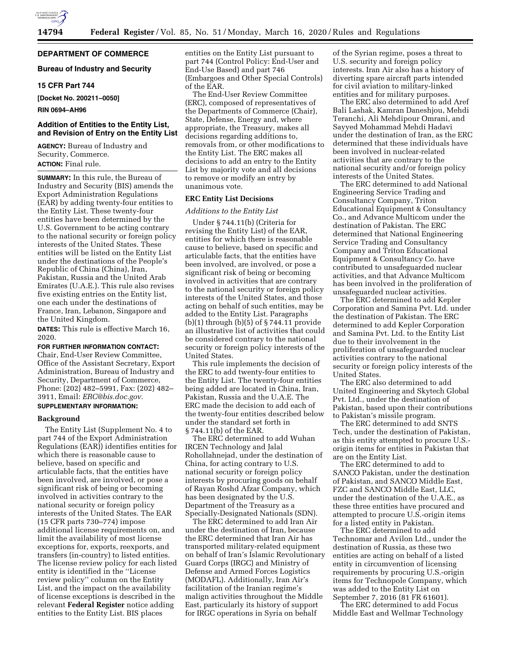

## **DEPARTMENT OF COMMERCE**

## **Bureau of Industry and Security**

## **15 CFR Part 744**

**[Docket No. 200211–0050]** 

### **RIN 0694–AH96**

## **Addition of Entities to the Entity List, and Revision of Entry on the Entity List**

**AGENCY:** Bureau of Industry and Security, Commerce. **ACTION:** Final rule.

**SUMMARY:** In this rule, the Bureau of Industry and Security (BIS) amends the Export Administration Regulations (EAR) by adding twenty-four entities to the Entity List. These twenty-four entities have been determined by the U.S. Government to be acting contrary to the national security or foreign policy interests of the United States. These entities will be listed on the Entity List under the destinations of the People's Republic of China (China), Iran, Pakistan, Russia and the United Arab Emirates (U.A.E.). This rule also revises five existing entries on the Entity list, one each under the destinations of France, Iran, Lebanon, Singapore and the United Kingdom.

**DATES:** This rule is effective March 16, 2020.

## **FOR FURTHER INFORMATION CONTACT:**

Chair, End-User Review Committee, Office of the Assistant Secretary, Export Administration, Bureau of Industry and Security, Department of Commerce, Phone: (202) 482–5991, Fax: (202) 482– 3911, Email: *[ERC@bis.doc.gov.](mailto:ERC@bis.doc.gov)* 

# **SUPPLEMENTARY INFORMATION:**

#### **Background**

The Entity List (Supplement No. 4 to part 744 of the Export Administration Regulations (EAR)) identifies entities for which there is reasonable cause to believe, based on specific and articulable facts, that the entities have been involved, are involved, or pose a significant risk of being or becoming involved in activities contrary to the national security or foreign policy interests of the United States. The EAR (15 CFR parts 730–774) impose additional license requirements on, and limit the availability of most license exceptions for, exports, reexports, and transfers (in-country) to listed entities. The license review policy for each listed entity is identified in the ''License review policy'' column on the Entity List, and the impact on the availability of license exceptions is described in the relevant **Federal Register** notice adding entities to the Entity List. BIS places

entities on the Entity List pursuant to part 744 (Control Policy: End-User and End-Use Based) and part 746 (Embargoes and Other Special Controls) of the EAR.

The End-User Review Committee (ERC), composed of representatives of the Departments of Commerce (Chair), State, Defense, Energy and, where appropriate, the Treasury, makes all decisions regarding additions to, removals from, or other modifications to the Entity List. The ERC makes all decisions to add an entry to the Entity List by majority vote and all decisions to remove or modify an entry by unanimous vote.

#### **ERC Entity List Decisions**

#### *Additions to the Entity List*

Under § 744.11(b) (Criteria for revising the Entity List) of the EAR, entities for which there is reasonable cause to believe, based on specific and articulable facts, that the entities have been involved, are involved, or pose a significant risk of being or becoming involved in activities that are contrary to the national security or foreign policy interests of the United States, and those acting on behalf of such entities, may be added to the Entity List. Paragraphs (b)(1) through (b)(5) of § 744.11 provide an illustrative list of activities that could be considered contrary to the national security or foreign policy interests of the United States.

This rule implements the decision of the ERC to add twenty-four entities to the Entity List. The twenty-four entities being added are located in China, Iran, Pakistan, Russia and the U.A.E. The ERC made the decision to add each of the twenty-four entities described below under the standard set forth in § 744.11(b) of the EAR.

The ERC determined to add Wuhan IRCEN Technology and Jalal Rohollahnejad, under the destination of China, for acting contrary to U.S. national security or foreign policy interests by procuring goods on behalf of Rayan Roshd Afzar Company, which has been designated by the U.S. Department of the Treasury as a Specially-Designated Nationals (SDN).

The ERC determined to add Iran Air under the destination of Iran, because the ERC determined that Iran Air has transported military-related equipment on behalf of Iran's Islamic Revolutionary Guard Corps (IRGC) and Ministry of Defense and Armed Forces Logistics (MODAFL). Additionally, Iran Air's facilitation of the Iranian regime's malign activities throughout the Middle East, particularly its history of support for IRGC operations in Syria on behalf

of the Syrian regime, poses a threat to U.S. security and foreign policy interests. Iran Air also has a history of diverting spare aircraft parts intended for civil aviation to military-linked entities and for military purposes.

The ERC also determined to add Aref Bali Lashak, Kamran Daneshjou, Mehdi Teranchi, Ali Mehdipour Omrani, and Sayyed Mohammad Mehdi Hadavi under the destination of Iran, as the ERC determined that these individuals have been involved in nuclear-related activities that are contrary to the national security and/or foreign policy interests of the United States.

The ERC determined to add National Engineering Service Trading and Consultancy Company, Triton Educational Equipment & Consultancy Co., and Advance Multicom under the destination of Pakistan. The ERC determined that National Engineering Service Trading and Consultancy Company and Triton Educational Equipment & Consultancy Co. have contributed to unsafeguarded nuclear activities, and that Advance Multicom has been involved in the proliferation of unsafeguarded nuclear activities.

The ERC determined to add Kepler Corporation and Samina Pvt. Ltd. under the destination of Pakistan. The ERC determined to add Kepler Corporation and Samina Pvt. Ltd. to the Entity List due to their involvement in the proliferation of unsafeguarded nuclear activities contrary to the national security or foreign policy interests of the United States.

The ERC also determined to add United Engineering and Skytech Global Pvt. Ltd., under the destination of Pakistan, based upon their contributions to Pakistan's missile program.

The ERC determined to add SNTS Tech, under the destination of Pakistan, as this entity attempted to procure U.S. origin items for entities in Pakistan that are on the Entity List.

The ERC determined to add to SANCO Pakistan, under the destination of Pakistan, and SANCO Middle East, FZC and SANCO Middle East, LLC, under the destination of the U.A.E., as these three entities have procured and attempted to procure U.S.-origin items for a listed entity in Pakistan.

The ERC determined to add Technomar and Avilon Ltd., under the destination of Russia, as these two entities are acting on behalf of a listed entity in circumvention of licensing requirements by procuring U.S.-origin items for Technopole Company, which was added to the Entity List on September 7, 2016 (81 FR 61601).

The ERC determined to add Focus Middle East and Wellmar Technology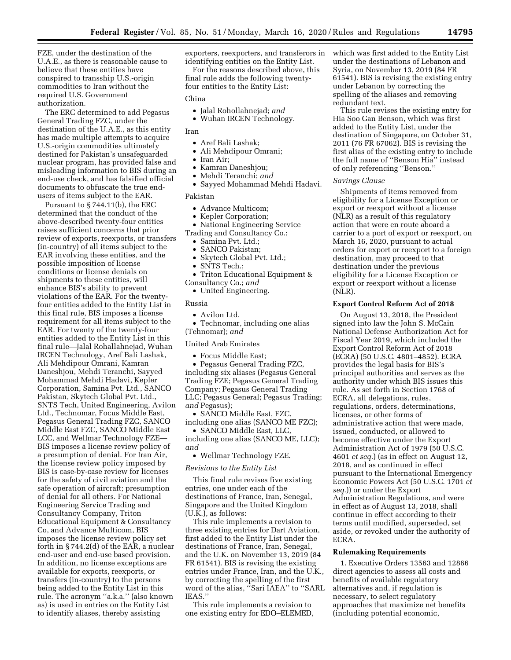FZE, under the destination of the U.A.E., as there is reasonable cause to believe that these entities have conspired to transship U.S.-origin commodities to Iran without the required U.S. Government authorization.

The ERC determined to add Pegasus General Trading FZC, under the destination of the U.A.E., as this entity has made multiple attempts to acquire U.S.-origin commodities ultimately destined for Pakistan's unsafeguarded nuclear program, has provided false and misleading information to BIS during an end-use check, and has falsified official documents to obfuscate the true endusers of items subject to the EAR.

Pursuant to § 744.11(b), the ERC determined that the conduct of the above-described twenty-four entities raises sufficient concerns that prior review of exports, reexports, or transfers (in-country) of all items subject to the EAR involving these entities, and the possible imposition of license conditions or license denials on shipments to these entities, will enhance BIS's ability to prevent violations of the EAR. For the twentyfour entities added to the Entity List in this final rule, BIS imposes a license requirement for all items subject to the EAR. For twenty of the twenty-four entities added to the Entity List in this final rule—Jalal Rohallahnejad, Wuhan IRCEN Technology, Aref Bali Lashak, Ali Mehdipour Omrani, Kamran Daneshjou, Mehdi Teranchi, Sayyed Mohammad Mehdi Hadavi, Kepler Corporation, Samina Pvt. Ltd., SANCO Pakistan, Skytech Global Pvt. Ltd., SNTS Tech, United Engineering, Avilon Ltd., Technomar, Focus Middle East, Pegasus General Trading FZC, SANCO Middle East FZC, SANCO Middle East LCC, and Wellmar Technology FZE— BIS imposes a license review policy of a presumption of denial. For Iran Air, the license review policy imposed by BIS is case-by-case review for licenses for the safety of civil aviation and the safe operation of aircraft; presumption of denial for all others. For National Engineering Service Trading and Consultancy Company, Triton Educational Equipment & Consultancy Co, and Advance Multicom, BIS imposes the license review policy set forth in § 744.2(d) of the EAR, a nuclear end-user and end-use based provision. In addition, no license exceptions are available for exports, reexports, or transfers (in-country) to the persons being added to the Entity List in this rule. The acronym ''a.k.a.'' (also known as) is used in entries on the Entity List to identify aliases, thereby assisting

exporters, reexporters, and transferors in identifying entities on the Entity List.

For the reasons described above, this final rule adds the following twentyfour entities to the Entity List:

## China

- Jalal Rohollahnejad; *and*
- Wuhan IRCEN Technology.

#### Iran

- Aref Bali Lashak;
- Ali Mehdipour Omrani;
- Iran Air;
- Kamran Daneshjou;
- Mehdi Teranchi; *and*
- Sayyed Mohammad Mehdi Hadavi.

#### Pakistan

- Advance Multicom;
- Kepler Corporation;
- National Engineering Service Trading and Consultancy Co.;
	- Samina Pvt. Ltd.;
	- SANCO Pakistan;
	- Skytech Global Pvt. Ltd.;
	- SNTS Tech.;
- Triton Educational Equipment & Consultancy Co.; *and* 
	- United Engineering.

#### Russia

- Avilon Ltd.
- Technomar, including one alias (Tehnomar); *and*

## United Arab Emirates

• Focus Middle East;

• Pegasus General Trading FZC, including six aliases (Pegasus General Trading FZE; Pegasus General Trading Company; Pegasus General Trading LLC; Pegasus General; Pegasus Trading; *and* Pegasus);

• SANCO Middle East, FZC, including one alias (SANCO ME FZC);

• SANCO Middle East, LLC, including one alias (SANCO ME, LLC); *and* 

• Wellmar Technology FZE.

#### *Revisions to the Entity List*

This final rule revises five existing entries, one under each of the destinations of France, Iran, Senegal, Singapore and the United Kingdom (U.K.), as follows:

This rule implements a revision to three existing entries for Dart Aviation, first added to the Entity List under the destinations of France, Iran, Senegal, and the U.K. on November 13, 2019 (84 FR 61541). BIS is revising the existing entries under France, Iran, and the U.K., by correcting the spelling of the first word of the alias, ''Sari IAEA'' to ''SARL IEAS.''

This rule implements a revision to one existing entry for EDO–ELEMED, which was first added to the Entity List under the destinations of Lebanon and Syria, on November 13, 2019 (84 FR 61541). BIS is revising the existing entry under Lebanon by correcting the spelling of the aliases and removing redundant text.

This rule revises the existing entry for Hia Soo Gan Benson, which was first added to the Entity List, under the destination of Singapore, on October 31, 2011 (76 FR 67062). BIS is revising the first alias of the existing entry to include the full name of ''Benson Hia'' instead of only referencing ''Benson.''

#### *Savings Clause*

Shipments of items removed from eligibility for a License Exception or export or reexport without a license (NLR) as a result of this regulatory action that were en route aboard a carrier to a port of export or reexport, on March 16, 2020, pursuant to actual orders for export or reexport to a foreign destination, may proceed to that destination under the previous eligibility for a License Exception or export or reexport without a license (NLR).

### **Export Control Reform Act of 2018**

On August 13, 2018, the President signed into law the John S. McCain National Defense Authorization Act for Fiscal Year 2019, which included the Export Control Reform Act of 2018 (ECRA) (50 U.S.C. 4801–4852). ECRA provides the legal basis for BIS's principal authorities and serves as the authority under which BIS issues this rule. As set forth in Section 1768 of ECRA, all delegations, rules, regulations, orders, determinations, licenses, or other forms of administrative action that were made, issued, conducted, or allowed to become effective under the Export Administration Act of 1979 (50 U.S.C. 4601 *et seq.*) (as in effect on August 12, 2018, and as continued in effect pursuant to the International Emergency Economic Powers Act (50 U.S.C. 1701 *et seq.*)) or under the Export Administration Regulations, and were in effect as of August 13, 2018, shall continue in effect according to their terms until modified, superseded, set aside, or revoked under the authority of ECRA.

#### **Rulemaking Requirements**

1. Executive Orders 13563 and 12866 direct agencies to assess all costs and benefits of available regulatory alternatives and, if regulation is necessary, to select regulatory approaches that maximize net benefits (including potential economic,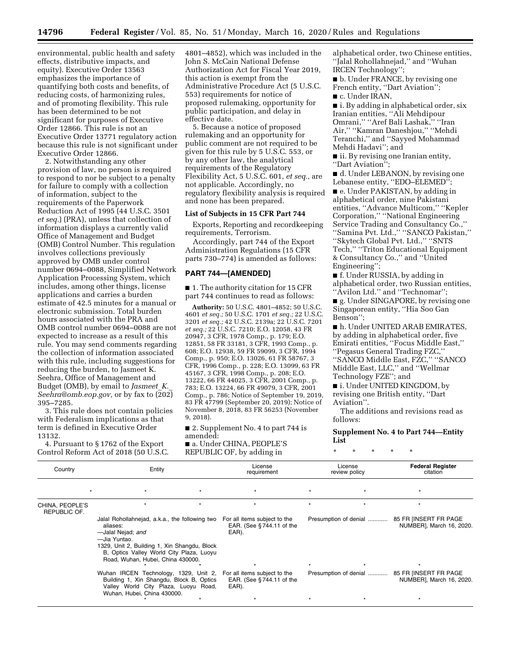environmental, public health and safety effects, distributive impacts, and equity). Executive Order 13563 emphasizes the importance of quantifying both costs and benefits, of reducing costs, of harmonizing rules, and of promoting flexibility. This rule has been determined to be not significant for purposes of Executive Order 12866. This rule is not an Executive Order 13771 regulatory action because this rule is not significant under Executive Order 12866.

2. Notwithstanding any other provision of law, no person is required to respond to nor be subject to a penalty for failure to comply with a collection of information, subject to the requirements of the Paperwork Reduction Act of 1995 (44 U.S.C. 3501 *et seq.*) (PRA), unless that collection of information displays a currently valid Office of Management and Budget (OMB) Control Number. This regulation involves collections previously approved by OMB under control number 0694–0088, Simplified Network Application Processing System, which includes, among other things, license applications and carries a burden estimate of 42.5 minutes for a manual or electronic submission. Total burden hours associated with the PRA and OMB control number 0694–0088 are not expected to increase as a result of this rule. You may send comments regarding the collection of information associated with this rule, including suggestions for reducing the burden, to Jasmeet K. Seehra, Office of Management and Budget (OMB), by email to *[Jasmeet](mailto:Jasmeet_K._Seehra@omb.eop.gov)*\_*K.*\_ *[Seehra@omb.eop.gov,](mailto:Jasmeet_K._Seehra@omb.eop.gov)* or by fax to (202) 395–7285.

3. This rule does not contain policies with Federalism implications as that term is defined in Executive Order 13132.

4. Pursuant to § 1762 of the Export Control Reform Act of 2018 (50 U.S.C. 4801–4852), which was included in the John S. McCain National Defense Authorization Act for Fiscal Year 2019, this action is exempt from the Administrative Procedure Act (5 U.S.C. 553) requirements for notice of proposed rulemaking, opportunity for public participation, and delay in effective date.

5. Because a notice of proposed rulemaking and an opportunity for public comment are not required to be given for this rule by 5 U.S.C. 553, or by any other law, the analytical requirements of the Regulatory Flexibility Act, 5 U.S.C. 601, *et seq.,* are not applicable. Accordingly, no regulatory flexibility analysis is required and none has been prepared.

## **List of Subjects in 15 CFR Part 744**

Exports, Reporting and recordkeeping requirements, Terrorism.

Accordingly, part 744 of the Export Administration Regulations (15 CFR parts 730–774) is amended as follows:

## **PART 744—[AMENDED]**

■ 1. The authority citation for 15 CFR part 744 continues to read as follows:

**Authority:** 50 U.S.C. 4801–4852; 50 U.S.C. 4601 *et seq.;* 50 U.S.C. 1701 *et seq.;* 22 U.S.C. 3201 *et seq.;* 42 U.S.C. 2139a; 22 U.S.C. 7201 *et seq.;* 22 U.S.C. 7210; E.O. 12058, 43 FR 20947, 3 CFR, 1978 Comp., p. 179; E.O. 12851, 58 FR 33181, 3 CFR, 1993 Comp., p. 608; E.O. 12938, 59 FR 59099, 3 CFR, 1994 Comp., p. 950; E.O. 13026, 61 FR 58767, 3 CFR, 1996 Comp., p. 228; E.O. 13099, 63 FR 45167, 3 CFR, 1998 Comp., p. 208; E.O. 13222, 66 FR 44025, 3 CFR, 2001 Comp., p. 783; E.O. 13224, 66 FR 49079, 3 CFR, 2001 Comp., p. 786; Notice of September 19, 2019, 83 FR 47799 (September 20, 2019); Notice of November 8, 2018, 83 FR 56253 (November 9, 2018).

■ 2. Supplement No. 4 to part 744 is amended:

■ a. Under CHINA, PEOPLE'S REPUBLIC OF, by adding in

alphabetical order, two Chinese entities, ''Jalal Rohollahnejad,'' and ''Wuhan IRCEN Technology'';

■ b. Under FRANCE, by revising one French entity, "Dart Aviation";

■ c. Under IRAN,

■ i. By adding in alphabetical order, six Iranian entities, ''Ali Mehdipour Omrani,'' ''Aref Bali Lashak,'' ''Iran Air,'' ''Kamran Daneshjou,'' ''Mehdi Teranchi,'' and ''Sayyed Mohammad Mehdi Hadavi''; and

■ ii. By revising one Iranian entity, ''Dart Aviation'';

■ d. Under LEBANON, by revising one Lebanese entity, ''EDO–ELEMED'';

■ e. Under PAKISTAN, by adding in alphabetical order, nine Pakistani entities, ''Advance Multicom,'' ''Kepler Corporation,'' ''National Engineering Service Trading and Consultancy Co.,'' ''Samina Pvt. Ltd.,'' ''SANCO Pakistan,'' ''Skytech Global Pvt. Ltd.,'' ''SNTS Tech,'' ''Triton Educational Equipment & Consultancy Co.,'' and ''United Engineering'';

■ f. Under RUSSIA, by adding in alphabetical order, two Russian entities, ''Avilon Ltd.'' and ''Technomar'';

■ g. Under SINGAPORE, by revising one Singaporean entity, ''Hia Soo Gan Benson'';

■ h. Under UNITED ARAB EMIRATES, by adding in alphabetical order, five Emirati entities, ''Focus Middle East,'' ''Pegasus General Trading FZC,'' ''SANCO Middle East, FZC,'' ''SANCO Middle East, LLC,'' and ''Wellmar

Technology FZE''; and

■ i. Under UNITED KINGDOM, by revising one British entity, ''Dart Aviation''.

The additions and revisions read as follows:

## **Supplement No. 4 to Part 744—Entity List**

\* \* \* \* \*

| Country                         | Entity                                                                                                                                                                                                                           |  | License<br>requirement                                              | License<br>review policy |                       | <b>Federal Register</b><br>citation                                      |
|---------------------------------|----------------------------------------------------------------------------------------------------------------------------------------------------------------------------------------------------------------------------------|--|---------------------------------------------------------------------|--------------------------|-----------------------|--------------------------------------------------------------------------|
|                                 |                                                                                                                                                                                                                                  |  | $\ddot{\phantom{1}}$                                                |                          |                       |                                                                          |
| CHINA, PEOPLE'S<br>REPUBLIC OF. |                                                                                                                                                                                                                                  |  |                                                                     |                          |                       |                                                                          |
|                                 | Jalal Rohollahnejad, a.k.a., the following two<br>aliases:<br>-Jalal Nejad; and<br>-Jia Yuntao.<br>1329, Unit 2, Building 1, Xin Shangdu, Block<br>B, Optics Valley World City Plaza, Luoyu<br>Road, Wuhan, Hubei, China 430000. |  | For all items subject to the<br>EAR. (See $§744.11$ of the<br>EAR). |                          | Presumption of denial | 85 FR [INSERT FR PAGE<br>NUMBER], March 16, 2020.                        |
|                                 | Wuhan IRCEN Technology, 1329, Unit 2, For all items subject to the<br>Building 1, Xin Shangdu, Block B, Optics<br>Valley World City Plaza, Luoyu Road,<br>Wuhan, Hubei, China 430000.                                            |  | EAR. (See §744.11 of the<br>EAR).                                   |                          |                       | Presumption of denial  85 FR [INSERT FR PAGE<br>NUMBER], March 16, 2020. |
|                                 |                                                                                                                                                                                                                                  |  |                                                                     |                          |                       |                                                                          |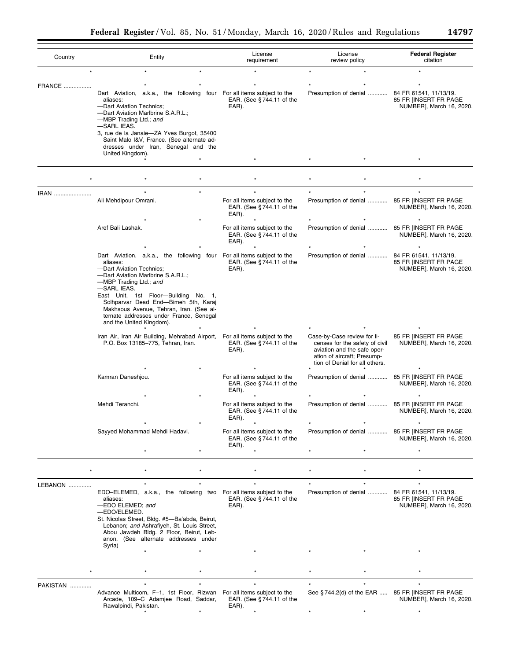| Country          | Entity                                                                                                                                                                                                                                                                                                                                                              |         | License<br>requirement                                               | License<br>review policy                                                                                                                                      | <b>Federal Register</b><br>citation               |
|------------------|---------------------------------------------------------------------------------------------------------------------------------------------------------------------------------------------------------------------------------------------------------------------------------------------------------------------------------------------------------------------|---------|----------------------------------------------------------------------|---------------------------------------------------------------------------------------------------------------------------------------------------------------|---------------------------------------------------|
| $\star$          | $\star$                                                                                                                                                                                                                                                                                                                                                             | $\star$ |                                                                      | $\star$<br>$\star$                                                                                                                                            | $\star$                                           |
| <b>FRANCE</b>    | Dart Aviation, a.k.a., the following four For all items subject to the<br>aliases:<br>-Dart Aviation Technics;<br>-Dart Aviation Marlbrine S.A.R.L.;<br>-MBP Trading Ltd.; and<br>-SARL IEAS.<br>3, rue de la Janaie-ZA Yves Burgot, 35400<br>Saint Malo I&V, France. (See alternate ad-<br>dresses under Iran, Senegal and the                                     |         | EAR. (See §744.11 of the<br>EAR).                                    | Presumption of denial  84 FR 61541, 11/13/19.                                                                                                                 | 85 FR [INSERT FR PAGE<br>NUMBER], March 16, 2020. |
|                  | United Kingdom).                                                                                                                                                                                                                                                                                                                                                    |         |                                                                      |                                                                                                                                                               |                                                   |
|                  |                                                                                                                                                                                                                                                                                                                                                                     |         |                                                                      |                                                                                                                                                               |                                                   |
|                  |                                                                                                                                                                                                                                                                                                                                                                     |         |                                                                      |                                                                                                                                                               |                                                   |
| IRAN             | Ali Mehdipour Omrani.                                                                                                                                                                                                                                                                                                                                               |         | For all items subject to the<br>EAR. (See $§$ 744.11 of the<br>EAR). | Presumption of denial  85 FR [INSERT FR PAGE                                                                                                                  | NUMBER], March 16, 2020.                          |
|                  | Aref Bali Lashak.                                                                                                                                                                                                                                                                                                                                                   |         | For all items subject to the<br>EAR. (See §744.11 of the<br>EAR).    | Presumption of denial  85 FR [INSERT FR PAGE                                                                                                                  | NUMBER], March 16, 2020.                          |
|                  | Dart Aviation, a.k.a., the following four For all items subject to the<br>aliases:<br>-Dart Aviation Technics;<br>-Dart Aviation Marlbrine S.A.R.L.;<br>-MBP Trading Ltd.; and<br>-SARL IEAS.<br>East Unit, 1st Floor-Building No. 1,<br>Solhparvar Dead End-Bimeh 5th, Karaj<br>Makhsous Avenue, Tehran, Iran. (See al-<br>ternate addresses under France, Senegal |         | EAR. (See §744.11 of the<br>EAR).                                    | Presumption of denial  84 FR 61541, 11/13/19.                                                                                                                 | 85 FR [INSERT FR PAGE<br>NUMBER], March 16, 2020. |
|                  | and the United Kingdom).<br>Iran Air, Iran Air Building, Mehrabad Airport, For all items subject to the<br>P.O. Box 13185-775, Tehran, Iran.                                                                                                                                                                                                                        |         | EAR. (See $§$ 744.11 of the<br>EAR).                                 | Case-by-Case review for li-<br>censes for the safety of civil<br>aviation and the safe oper-<br>ation of aircraft; Presump-<br>tion of Denial for all others. | 85 FR INSERT FR PAGE<br>NUMBER], March 16, 2020.  |
|                  | Kamran Daneshjou.                                                                                                                                                                                                                                                                                                                                                   |         | For all items subject to the<br>EAR. (See §744.11 of the<br>EAR).    | Presumption of denial  85 FR [INSERT FR PAGE                                                                                                                  | NUMBER], March 16, 2020.                          |
|                  | Mehdi Teranchi.                                                                                                                                                                                                                                                                                                                                                     |         | For all items subject to the<br>EAR. (See §744.11 of the<br>EAR).    | Presumption of denial  85 FR [INSERT FR PAGE                                                                                                                  | NUMBER], March 16, 2020.                          |
|                  | Sayyed Mohammad Mehdi Hadavi.                                                                                                                                                                                                                                                                                                                                       |         | For all items subject to the<br>EAR. (See §744.11 of the<br>EAR).    | Presumption of denial  85 FR [INSERT FR PAGE                                                                                                                  | NUMBER], March 16, 2020.                          |
|                  |                                                                                                                                                                                                                                                                                                                                                                     |         |                                                                      |                                                                                                                                                               |                                                   |
|                  |                                                                                                                                                                                                                                                                                                                                                                     |         |                                                                      |                                                                                                                                                               |                                                   |
| LEBANON          | EDO-ELEMED, a.k.a., the following two For all items subject to the<br>aliases:<br>-EDO ELEMED; and<br>-EDO/ELEMED.<br>St. Nicolas Street, Bldg. #5-Ba'abda, Beirut,<br>Lebanon; and Ashrafiyeh, St. Louis Street,<br>Abou Jawdeh Bldg. 2 Floor, Beirut, Leb-<br>anon. (See alternate addresses under<br>Syria)                                                      |         | EAR. (See $§$ 744.11 of the<br>EAR).                                 | Presumption of denial  84 FR 61541, 11/13/19.                                                                                                                 | 85 FR INSERT FR PAGE<br>NUMBER], March 16, 2020.  |
|                  |                                                                                                                                                                                                                                                                                                                                                                     |         |                                                                      |                                                                                                                                                               |                                                   |
|                  |                                                                                                                                                                                                                                                                                                                                                                     |         |                                                                      |                                                                                                                                                               |                                                   |
| <b>PAKISTAN </b> | Advance Multicom, F-1, 1st Floor, Rizwan For all items subject to the<br>Arcade, 109-C Adamjee Road, Saddar,<br>Rawalpindi, Pakistan.                                                                                                                                                                                                                               |         | EAR. (See §744.11 of the<br>EAR).                                    | See §744.2(d) of the EAR  85 FR [INSERT FR PAGE                                                                                                               | NUMBER], March 16, 2020.                          |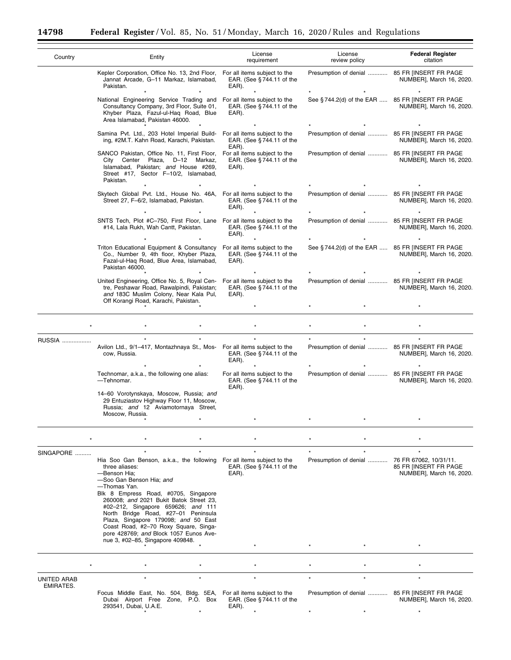$\equiv$ 

۰

| Country     | Entity                                                                                                                                                                                                                                          | License<br>requirement                                               | License<br>review policy                        | <b>Federal Register</b><br>citation                                         |
|-------------|-------------------------------------------------------------------------------------------------------------------------------------------------------------------------------------------------------------------------------------------------|----------------------------------------------------------------------|-------------------------------------------------|-----------------------------------------------------------------------------|
|             | Kepler Corporation, Office No. 13, 2nd Floor, For all items subject to the<br>Jannat Arcade, G-11 Markaz, Islamabad,<br>Pakistan.                                                                                                               | EAR. (See $§$ 744.11 of the<br>EAR).                                 | Presumption of denial  85 FR [INSERT FR PAGE    | NUMBER], March 16, 2020.                                                    |
|             | National Engineering Service Trading and<br>Consultancy Company, 3rd Floor, Suite 01,<br>Khyber Plaza, Fazul-ul-Haq Road, Blue<br>Area Islamabad, Pakistan 46000.                                                                               | For all items subject to the<br>EAR. (See §744.11 of the<br>EAR).    | See §744.2(d) of the EAR  85 FR [INSERT FR PAGE | NUMBER], March 16, 2020.                                                    |
|             | Samina Pvt. Ltd., 203 Hotel Imperial Build-<br>ing, #2M.T. Kahn Road, Karachi, Pakistan.                                                                                                                                                        | For all items subject to the<br>EAR. (See §744.11 of the<br>EAR).    | Presumption of denial  85 FR [INSERT FR PAGE    | NUMBER], March 16, 2020.                                                    |
|             | SANCO Pakistan, Office No. 11, First Floor,<br>City Center Plaza, D-12 Markaz,<br>Islamabad, Pakistan; and House #269,<br>Street #17, Sector F-10/2, Islamabad,<br>Pakistan.                                                                    | For all items subject to the<br>EAR. (See §744.11 of the<br>EAR).    | Presumption of denial  85 FR [INSERT FR PAGE    | NUMBER], March 16, 2020.                                                    |
|             | Skytech Global Pvt. Ltd., House No. 46A,<br>Street 27, F-6/2, Islamabad, Pakistan.                                                                                                                                                              | For all items subject to the<br>EAR. (See $§$ 744.11 of the<br>EAR). | Presumption of denial  85 FR [INSERT FR PAGE    | NUMBER], March 16, 2020.                                                    |
|             | SNTS Tech, Plot #C-750, First Floor, Lane For all items subject to the<br>#14, Lala Rukh, Wah Cantt, Pakistan.                                                                                                                                  | EAR. (See $§$ 744.11 of the<br>EAR).                                 | Presumption of denial  85 FR [INSERT FR PAGE    | NUMBER], March 16, 2020.                                                    |
|             | Triton Educational Equipment & Consultancy For all items subject to the<br>Co., Number 9, 4th floor, Khyber Plaza,<br>Fazal-ul-Haq Road, Blue Area, Islamabad,<br>Pakistan 46000.                                                               | EAR. (See §744.11 of the<br>EAR).                                    | See §744.2(d) of the EAR  85 FR [INSERT FR PAGE | NUMBER], March 16, 2020.                                                    |
|             | United Engineering, Office No. 5, Royal Cen-<br>tre, Peshawar Road, Rawalpindi, Pakistan;<br>and 183C Muslim Colony, Near Kala Pul,<br>Off Korangi Road, Karachi, Pakistan.                                                                     | For all items subject to the<br>EAR. (See §744.11 of the<br>EAR).    | Presumption of denial  85 FR [INSERT FR PAGE    | NUMBER], March 16, 2020.                                                    |
|             |                                                                                                                                                                                                                                                 |                                                                      |                                                 |                                                                             |
|             |                                                                                                                                                                                                                                                 |                                                                      |                                                 |                                                                             |
| RUSSIA      | Avilon Ltd., 9/1-417, Montazhnaya St., Mos- For all items subject to the<br>cow, Russia.                                                                                                                                                        | EAR. (See $§$ 744.11 of the<br>EAR).                                 | Presumption of denial  85 FR [INSERT FR PAGE    | NUMBER], March 16, 2020.                                                    |
|             | Technomar, a.k.a., the following one alias:<br>-Tehnomar.                                                                                                                                                                                       | For all items subject to the<br>EAR. (See $§$ 744.11 of the<br>EAR). | Presumption of denial  85 FR [INSERT FR PAGE    | NUMBER], March 16, 2020.                                                    |
|             | 14-60 Vorotynskaya, Moscow, Russia; and<br>29 Entuziastov Highway Floor 11, Moscow,<br>Russia; and 12 Aviamotornaya Street,<br>Moscow, Russia.                                                                                                  |                                                                      |                                                 |                                                                             |
|             |                                                                                                                                                                                                                                                 |                                                                      |                                                 |                                                                             |
|             |                                                                                                                                                                                                                                                 |                                                                      |                                                 |                                                                             |
| SINGAPORE   | Hia Soo Gan Benson, a.k.a., the following For all items subject to the<br>three aliases:<br>-Benson Hia;<br>-Soo Gan Benson Hia: and<br>-Thomas Yan.<br>Blk 8 Empress Road, #0705, Singapore                                                    | EAR. (See $§$ 744.11 of the<br>EAR).                                 | Presumption of denial                           | 76 FR 67062, 10/31/11.<br>85 FR [INSERT FR PAGE<br>NUMBER], March 16, 2020. |
|             | 260008; and 2021 Bukit Batok Street 23,<br>#02-212, Singapore 659626; and 111<br>North Bridge Road, #27-01 Peninsula<br>Plaza, Singapore 179098; and 50 East<br>Coast Road, #2-70 Roxy Square, Singa-<br>pore 428769; and Block 1057 Eunos Ave- |                                                                      |                                                 |                                                                             |
|             | nue 3, #02-85, Singapore 409848.                                                                                                                                                                                                                |                                                                      |                                                 |                                                                             |
|             |                                                                                                                                                                                                                                                 |                                                                      |                                                 |                                                                             |
| UNITED ARAB |                                                                                                                                                                                                                                                 |                                                                      |                                                 | $\star$                                                                     |
| EMIRATES.   | Focus Middle East, No. 504, Bldg. 5EA, For all items subject to the<br>Dubai Airport Free Zone, P.O. Box<br>293541, Dubai, U.A.E.                                                                                                               | EAR. (See $§$ 744.11 of the<br>EAR).                                 | Presumption of denial  85 FR [INSERT FR PAGE    | NUMBER], March 16, 2020.                                                    |
|             |                                                                                                                                                                                                                                                 |                                                                      |                                                 |                                                                             |